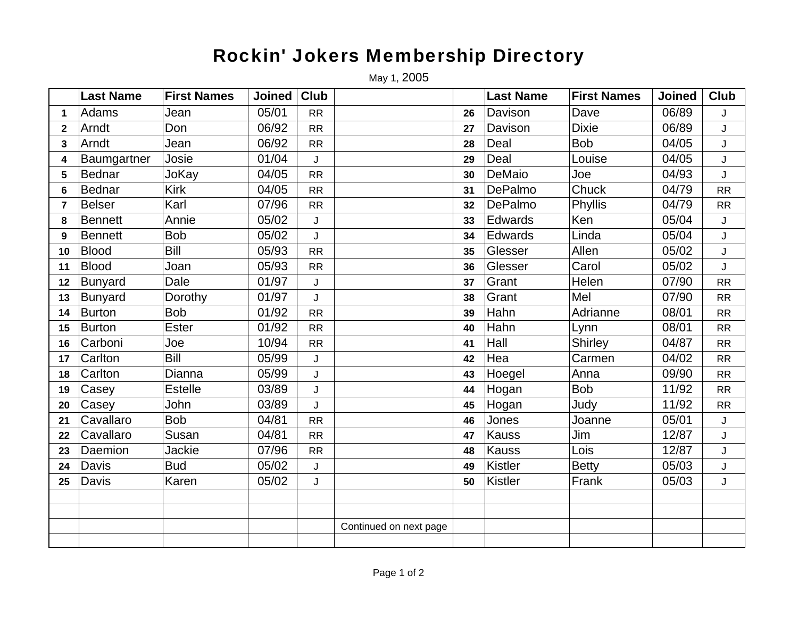## Rockin' Jokers Membership Directory

May 1, 2005

|                | <b>Last Name</b> | <b>First Names</b> | <b>Joined</b> | Club      |                        |    | <b>Last Name</b> | <b>First Names</b> | <b>Joined</b> | <b>Club</b> |
|----------------|------------------|--------------------|---------------|-----------|------------------------|----|------------------|--------------------|---------------|-------------|
| 1              | Adams            | Jean               | 05/01         | <b>RR</b> |                        | 26 | Davison          | Dave               | 06/89         | J           |
| $\mathbf{2}$   | Arndt            | Don                | 06/92         | RR        |                        | 27 | Davison          | <b>Dixie</b>       | 06/89         | J           |
| 3              | Arndt            | Jean               | 06/92         | RR        |                        | 28 | Deal             | <b>Bob</b>         | 04/05         | J           |
| 4              | Baumgartner      | Josie              | 01/04         | J         |                        | 29 | Deal             | Louise             | 04/05         | J           |
| 5              | <b>Bednar</b>    | JoKay              | 04/05         | <b>RR</b> |                        | 30 | DeMaio           | Joe                | 04/93         | J           |
| 6              | <b>Bednar</b>    | <b>Kirk</b>        | 04/05         | <b>RR</b> |                        | 31 | DePalmo          | Chuck              | 04/79         | <b>RR</b>   |
| $\overline{7}$ | <b>Belser</b>    | Karl               | 07/96         | <b>RR</b> |                        | 32 | DePalmo          | Phyllis            | 04/79         | RR          |
| 8              | <b>Bennett</b>   | Annie              | 05/02         | J         |                        | 33 | Edwards          | Ken                | 05/04         | J           |
| 9              | <b>Bennett</b>   | <b>Bob</b>         | 05/02         | J         |                        | 34 | Edwards          | Linda              | 05/04         | J           |
| 10             | <b>Blood</b>     | <b>Bill</b>        | 05/93         | RR        |                        | 35 | Glesser          | Allen              | 05/02         | J           |
| 11             | <b>Blood</b>     | Joan               | 05/93         | <b>RR</b> |                        | 36 | Glesser          | Carol              | 05/02         | J           |
| 12             | <b>Bunyard</b>   | Dale               | 01/97         | J         |                        | 37 | Grant            | Helen              | 07/90         | RR          |
| 13             | <b>Bunyard</b>   | Dorothy            | 01/97         | J         |                        | 38 | Grant            | Mel                | 07/90         | <b>RR</b>   |
| 14             | <b>Burton</b>    | <b>Bob</b>         | 01/92         | <b>RR</b> |                        | 39 | Hahn             | Adrianne           | 08/01         | <b>RR</b>   |
| 15             | Burton           | <b>Ester</b>       | 01/92         | <b>RR</b> |                        | 40 | Hahn             | Lynn               | 08/01         | RR          |
| 16             | Carboni          | Joe                | 10/94         | <b>RR</b> |                        | 41 | Hall             | Shirley            | 04/87         | <b>RR</b>   |
| 17             | Carlton          | <b>Bill</b>        | 05/99         | J         |                        | 42 | Hea              | Carmen             | 04/02         | RR          |
| 18             | Carlton          | Dianna             | 05/99         | J         |                        | 43 | Hoegel           | Anna               | 09/90         | <b>RR</b>   |
| 19             | Casey            | <b>Estelle</b>     | 03/89         | J         |                        | 44 | Hogan            | <b>Bob</b>         | 11/92         | RR          |
| 20             | Casey            | John               | 03/89         | J         |                        | 45 | Hogan            | Judy               | 11/92         | RR          |
| 21             | Cavallaro        | <b>Bob</b>         | 04/81         | RR        |                        | 46 | Jones            | Joanne             | 05/01         | J           |
| 22             | Cavallaro        | Susan              | 04/81         | RR        |                        | 47 | <b>Kauss</b>     | Jim                | 12/87         | J           |
| 23             | Daemion          | Jackie             | 07/96         | RR        |                        | 48 | <b>Kauss</b>     | Lois               | 12/87         | J           |
| 24             | Davis            | <b>Bud</b>         | 05/02         | J         |                        | 49 | <b>Kistler</b>   | <b>Betty</b>       | 05/03         | J           |
| 25             | Davis            | Karen              | 05/02         | J         |                        | 50 | <b>Kistler</b>   | Frank              | 05/03         | J           |
|                |                  |                    |               |           |                        |    |                  |                    |               |             |
|                |                  |                    |               |           |                        |    |                  |                    |               |             |
|                |                  |                    |               |           | Continued on next page |    |                  |                    |               |             |
|                |                  |                    |               |           |                        |    |                  |                    |               |             |